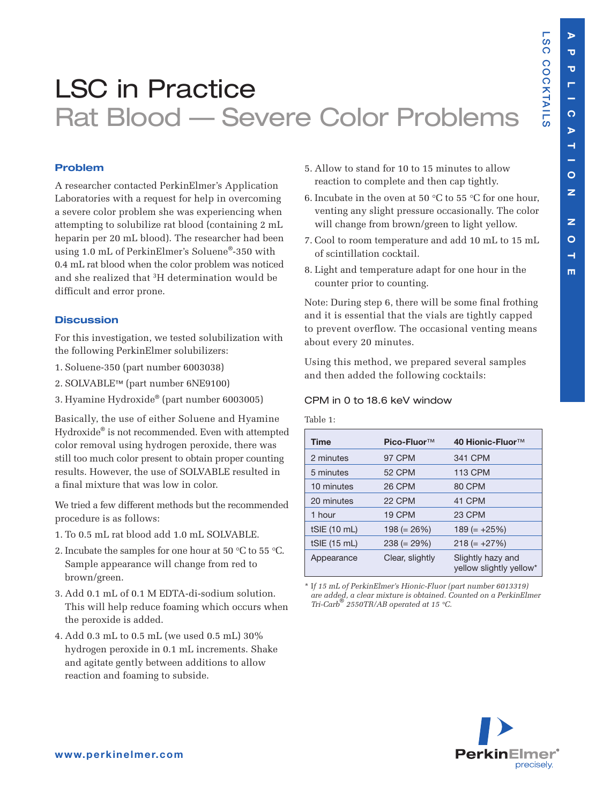**L S C**

**C O C**

**K T AIL S**

# LSC in Practice Rat Blood — Severe Color Problems

# **Problem**

A researcher contacted PerkinElmer's Application Laboratories with a request for help in overcoming a severe color problem she was experiencing when attempting to solubilize rat blood (containing 2 mL heparin per 20 mL blood). The researcher had been using 1.0 mL of PerkinElmer's Soluene®-350 with 0.4 mL rat blood when the color problem was noticed and she realized that 3H determination would be difficult and error prone.

### **Discussion**

For this investigation, we tested solubilization with the following PerkinElmer solubilizers:

- 1. Soluene-350 (part number 6003038)
- 2. SOLVABLE™ (part number 6NE9100)
- 3. Hyamine Hydroxide® (part number 6003005)

Basically, the use of either Soluene and Hyamine Hydroxide® is not recommended. Even with attempted color removal using hydrogen peroxide, there was still too much color present to obtain proper counting results. However, the use of SOLVABLE resulted in a final mixture that was low in color.

We tried a few different methods but the recommended procedure is as follows:

- 1. To 0.5 mL rat blood add 1.0 mL SOLVABLE.
- 2. Incubate the samples for one hour at 50 °C to 55 °C. Sample appearance will change from red to brown/green.
- 3. Add 0.1 mL of 0.1 M EDTA-di-sodium solution. This will help reduce foaming which occurs when the peroxide is added.
- 4. Add 0.3 mL to 0.5 mL (we used 0.5 mL) 30% hydrogen peroxide in 0.1 mL increments. Shake and agitate gently between additions to allow reaction and foaming to subside.
- 5. Allow to stand for 10 to 15 minutes to allow reaction to complete and then cap tightly.
- 6. Incubate in the oven at 50 °C to 55 °C for one hour, venting any slight pressure occasionally. The color will change from brown/green to light yellow.
- 7. Cool to room temperature and add 10 mL to 15 mL of scintillation cocktail.
- 8. Light and temperature adapt for one hour in the counter prior to counting.

Note: During step 6, there will be some final frothing and it is essential that the vials are tightly capped to prevent overflow. The occasional venting means about every 20 minutes.

Using this method, we prepared several samples and then added the following cocktails:

#### CPM in 0 to 18.6 keV window

# Table 1:

| <b>Time</b>  | Pico-Fluor™     | 40 Hionic-Fluor <sup>™</sup>                 |
|--------------|-----------------|----------------------------------------------|
| 2 minutes    | <b>97 CPM</b>   | 341 CPM                                      |
| 5 minutes    | <b>52 CPM</b>   | <b>113 CPM</b>                               |
| 10 minutes   | <b>26 CPM</b>   | 80 CPM                                       |
| 20 minutes   | 22 CPM          | 41 CPM                                       |
| 1 hour       | 19 CPM          | <b>23 CPM</b>                                |
| tSIE (10 mL) | $198 (= 26%)$   | $189 (= +25%)$                               |
| tSIE (15 mL) | $238 (= 29\%)$  | $218 (= +27%)$                               |
| Appearance   | Clear, slightly | Slightly hazy and<br>yellow slightly yellow* |

\* I*f 15 mL of PerkinElmer's Hionic-Fluor (part number 6013319) are added, a clear mixture is obtained. Counted on a PerkinElmer Tri-Carb*® *2550TR/AB operated at 15 °C.*